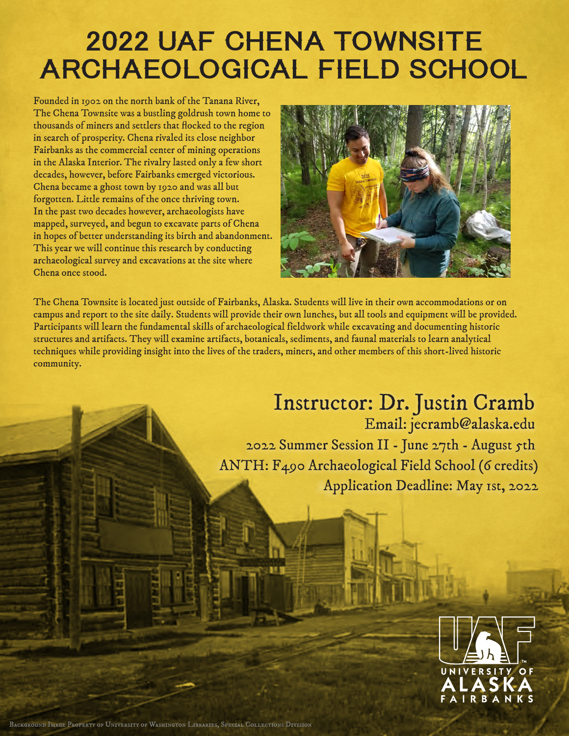# 2022 UAF CHENA TOWNSITE ARCHAEOLOGICAL FIELD SCHOOL

Founded in 1902 on the north bank of the Tanana River, The Chena Townsite was a bustling goldrush town home to thousands of miners and settlers that flocked to the region in search of prosperity. Chena rivaled its close neighbor Fairbanks as the commercial center of mining operations in the Alaska Interior. The rivalry lasted only a few short decades, however, before Fairbanks emerged victorious. Chena became a ghost town by 1920 and was all but forgotten. Little remains of the once thriving town. In the past two decades however, archaeologists have mapped, surveyed, and begun to excavate parts of Chena in hopes of better understanding its birth and abandonment. This year we will continue this research by conducting archaeological survey and excavations at the site where Chena once stood.



The Chena Townsite is located just outside of Fairbanks, Alaska. Students will live in their own accommodations or on campus and report to the site daily. Students will provide their own lunches, but all tools and equipment will be provided. Participants will learn the fundamental skills of archaeological fieldwork while excavating and documenting historic structures and artifacts. They will examine artifacts, botanicals, sediments, and faunal materials to learn analytical techniques while providing insight into the lives of the traders, miners, and other members of this short-lived historic community.

## Instructor: Dr. Justin Cramb Email: jecramb@alaska.edu

2022 Summer Session II - June 27th - August 5th ANTH: F490 Archaeological Field School (6 credits) Application Deadline: May 1st, 2022



Background Image Property of University of Washington Libraries, Special Collections Division